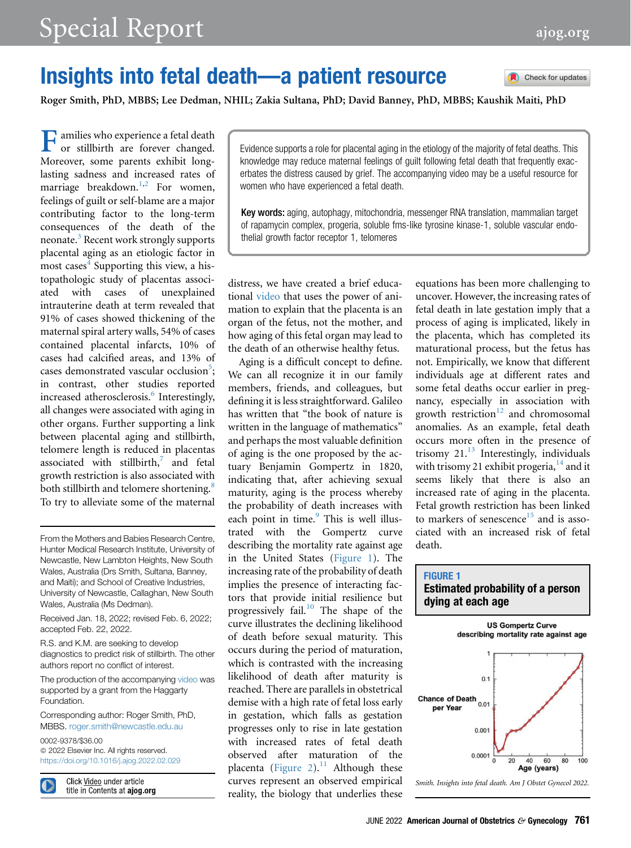Check for updates

## Insights into fetal death—a patient resource

Roger Smith, PhD, MBBS; Lee Dedman, NHIL; Zakia Sultana, PhD; David Banney, PhD, MBBS; Kaushik Maiti, PhD

Families who experience a fetal death or stillbirth are forever changed. Moreover, some parents exhibit longlasting sadness and increased rates of marriage breakdown.<sup>[1](#page-1-0),[2](#page-1-1)</sup> For women, feelings of guilt or self-blame are a major contributing factor to the long-term consequences of the death of the neonate.<sup>[3](#page-1-2)</sup> Recent work strongly supports placental aging as an etiologic factor in most cases $4$  Supporting this view, a histopathologic study of placentas associated with cases of unexplained intrauterine death at term revealed that 91% of cases showed thickening of the maternal spiral artery walls, 54% of cases contained placental infarcts, 10% of cases had calcified areas, and 13% of cases demonstrated vascular occlusion<sup>5</sup>; in contrast, other studies reported increased atherosclerosis.<sup>[6](#page-2-2)</sup> Interestingly, all changes were associated with aging in other organs. Further supporting a link between placental aging and stillbirth, telomere length is reduced in placentas associated with stillbirth, $\frac{7}{1}$  $\frac{7}{1}$  $\frac{7}{1}$  and fetal growth restriction is also associated with both stillbirth and telomere shortening.<sup>[8](#page-2-4)</sup> To try to alleviate some of the maternal

From the Mothers and Babies Research Centre, Hunter Medical Research Institute, University of Newcastle, New Lambton Heights, New South Wales, Australia (Drs Smith, Sultana, Banney, and Maiti); and School of Creative Industries, University of Newcastle, Callaghan, New South Wales, Australia (Ms Dedman).

Received Jan. 18, 2022; revised Feb. 6, 2022; accepted Feb. 22, 2022.

R.S. and K.M. are seeking to develop diagnostics to predict risk of stillbirth. The other authors report no conflict of interest.

The production of the accompanying video was supported by a grant from the Haggarty Foundation.

Corresponding author: Roger Smith, PhD, MBBS. [roger.smith@newcastle.edu.au](mailto:roger.smith@newcastle.edu.au)

0002-9378/\$36.00  $©$  2022 Elsevier Inc. All rights reserved. <https://doi.org/10.1016/j.ajog.2022.02.029>

Click Video under article title in Contents at ajog.org Evidence supports a role for placental aging in the etiology of the majority of fetal deaths. This knowledge may reduce maternal feelings of guilt following fetal death that frequently exacerbates the distress caused by grief. The accompanying video may be a useful resource for women who have experienced a fetal death.

Key words: aging, autophagy, mitochondria, messenger RNA translation, mammalian target of rapamycin complex, progeria, soluble fms-like tyrosine kinase-1, soluble vascular endothelial growth factor receptor 1, telomeres

distress, we have created a brief educational video that uses the power of animation to explain that the placenta is an organ of the fetus, not the mother, and how aging of this fetal organ may lead to the death of an otherwise healthy fetus.

Aging is a difficult concept to define. We can all recognize it in our family members, friends, and colleagues, but defining it is less straightforward. Galileo has written that "the book of nature is written in the language of mathematics" and perhaps the most valuable definition of aging is the one proposed by the actuary Benjamin Gompertz in 1820, indicating that, after achieving sexual maturity, aging is the process whereby the probability of death increases with each point in time. $9$  This is well illustrated with the Gompertz curve describing the mortality rate against age in the United States ([Figure 1](#page-0-0)). The increasing rate of the probability of death implies the presence of interacting factors that provide initial resilience but progressively fail.<sup>[10](#page-2-6)</sup> The shape of the curve illustrates the declining likelihood of death before sexual maturity. This occurs during the period of maturation, which is contrasted with the increasing likelihood of death after maturity is reached. There are parallels in obstetrical demise with a high rate of fetal loss early in gestation, which falls as gestation progresses only to rise in late gestation with increased rates of fetal death observed after maturation of the placenta [\(Figure 2\)](#page-1-3). $^{11}$  $^{11}$  $^{11}$  Although these curves represent an observed empirical reality, the biology that underlies these

equations has been more challenging to uncover. However, the increasing rates of fetal death in late gestation imply that a process of aging is implicated, likely in the placenta, which has completed its maturational process, but the fetus has not. Empirically, we know that different individuals age at different rates and some fetal deaths occur earlier in pregnancy, especially in association with growth restriction $12$  and chromosomal anomalies. As an example, fetal death occurs more often in the presence of trisomy  $21<sup>13</sup>$  $21<sup>13</sup>$  $21<sup>13</sup>$  Interestingly, individuals with trisomy 21 exhibit progeria,  $14$  and it seems likely that there is also an increased rate of aging in the placenta. Fetal growth restriction has been linked to markers of senescence<sup>[15](#page-2-11)</sup> and is associated with an increased risk of fetal death.

## <span id="page-0-0"></span>FIGURE 1 Estimated probability of a person dying at each age



Smith. Insights into fetal death. Am J Obstet Gynecol 2022.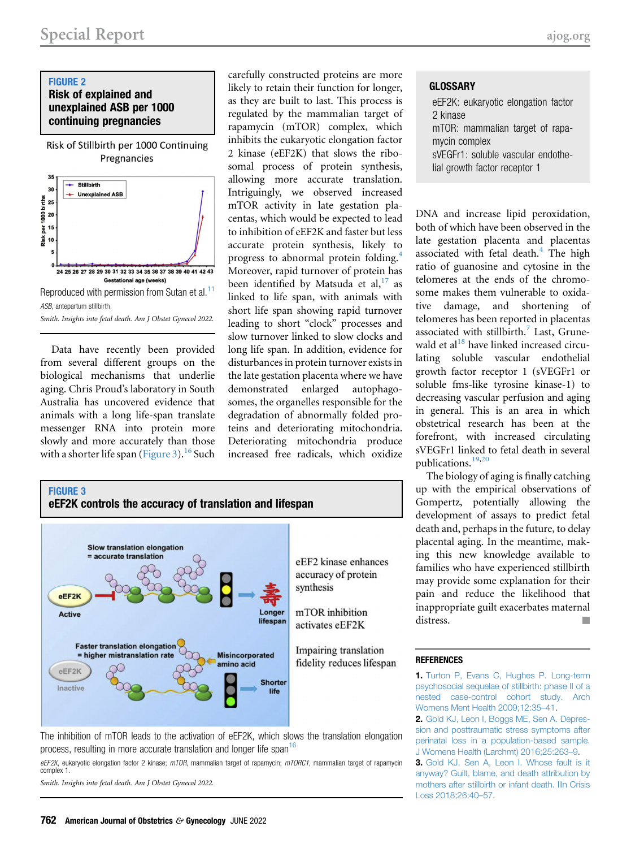## <span id="page-1-3"></span>FIGURE 2 Risk of explained and unexplained ASB per 1000 continuing pregnancies

Risk of Stillbirth per 1000 Continuing Pregnancies



Data have recently been provided from several different groups on the biological mechanisms that underlie aging. Chris Proud's laboratory in South Australia has uncovered evidence that animals with a long life-span translate messenger RNA into protein more slowly and more accurately than those with a shorter life span [\(Figure 3\)](#page-1-4).<sup>[16](#page-2-12)</sup> Such carefully constructed proteins are more likely to retain their function for longer, as they are built to last. This process is regulated by the mammalian target of rapamycin (mTOR) complex, which inhibits the eukaryotic elongation factor 2 kinase (eEF2K) that slows the ribosomal process of protein synthesis, allowing more accurate translation. Intriguingly, we observed increased mTOR activity in late gestation placentas, which would be expected to lead to inhibition of eEF2K and faster but less accurate protein synthesis, likely to progress to abnormal protein folding.[4](#page-2-0) Moreover, rapid turnover of protein has been identified by Matsuda et al,  $17$  as linked to life span, with animals with short life span showing rapid turnover leading to short "clock" processes and slow turnover linked to slow clocks and long life span. In addition, evidence for disturbances in protein turnover exists in the late gestation placenta where we have demonstrated enlarged autophagosomes, the organelles responsible for the degradation of abnormally folded proteins and deteriorating mitochondria. Deteriorating mitochondria produce increased free radicals, which oxidize

<span id="page-1-4"></span>

The inhibition of mTOR leads to the activation of eEF2K, which slows the translation elongation process, resulting in more accurate translation and longer life span<sup>[16](#page-2-12)</sup>

eEF2K, eukaryotic elongation factor 2 kinase; mTOR, mammalian target of rapamycin; mTORC1, mammalian target of rapamycin complex 1.

Smith. Insights into fetal death. Am J Obstet Gynecol 2022.

**GLOSSARY** 

eEF2K: eukaryotic elongation factor 2 kinase mTOR: mammalian target of rapamycin complex sVEGFr1: soluble vascular endothelial growth factor receptor 1

DNA and increase lipid peroxidation, both of which have been observed in the late gestation placenta and placentas associated with fetal death.<sup>[4](#page-2-0)</sup> The high ratio of guanosine and cytosine in the telomeres at the ends of the chromosome makes them vulnerable to oxidative damage, and shortening of telomeres has been reported in placentas associated with stillbirth. $<sup>7</sup>$  $<sup>7</sup>$  $<sup>7</sup>$  Last, Grune-</sup> wald et al $^{18}$  $^{18}$  $^{18}$  have linked increased circulating soluble vascular endothelial growth factor receptor 1 (sVEGFr1 or soluble fms-like tyrosine kinase-1) to decreasing vascular perfusion and aging in general. This is an area in which obstetrical research has been at the forefront, with increased circulating sVEGFr1 linked to fetal death in several publications.[19,](#page-2-15)[20](#page-2-16)

The biology of aging is finally catching up with the empirical observations of Gompertz, potentially allowing the development of assays to predict fetal death and, perhaps in the future, to delay placental aging. In the meantime, making this new knowledge available to families who have experienced stillbirth may provide some explanation for their pain and reduce the likelihood that inappropriate guilt exacerbates maternal distress.

## <span id="page-1-0"></span>**REFERENCES**

<sup>1.</sup> [Turton P, Evans C, Hughes P. Long-term](http://refhub.elsevier.com/S0002-9378(22)00145-4/sref1) [psychosocial sequelae of stillbirth: phase II of a](http://refhub.elsevier.com/S0002-9378(22)00145-4/sref1) [nested case-control cohort study. Arch](http://refhub.elsevier.com/S0002-9378(22)00145-4/sref1) [Womens Ment Health 2009;12:35](http://refhub.elsevier.com/S0002-9378(22)00145-4/sref1)–41.

<span id="page-1-1"></span><sup>2.</sup> [Gold KJ, Leon I, Boggs ME, Sen A. Depres](http://refhub.elsevier.com/S0002-9378(22)00145-4/sref2)[sion and posttraumatic stress symptoms after](http://refhub.elsevier.com/S0002-9378(22)00145-4/sref2) [perinatal loss in a population-based sample.](http://refhub.elsevier.com/S0002-9378(22)00145-4/sref2) [J Womens Health \(Larchmt\) 2016;25:263](http://refhub.elsevier.com/S0002-9378(22)00145-4/sref2)–9.

<span id="page-1-2"></span><sup>3.</sup> [Gold KJ, Sen A, Leon I. Whose fault is it](http://refhub.elsevier.com/S0002-9378(22)00145-4/sref3) [anyway? Guilt, blame, and death attribution by](http://refhub.elsevier.com/S0002-9378(22)00145-4/sref3) [mothers after stillbirth or infant death. Illn Crisis](http://refhub.elsevier.com/S0002-9378(22)00145-4/sref3) [Loss 2018;26:40](http://refhub.elsevier.com/S0002-9378(22)00145-4/sref3)–57.